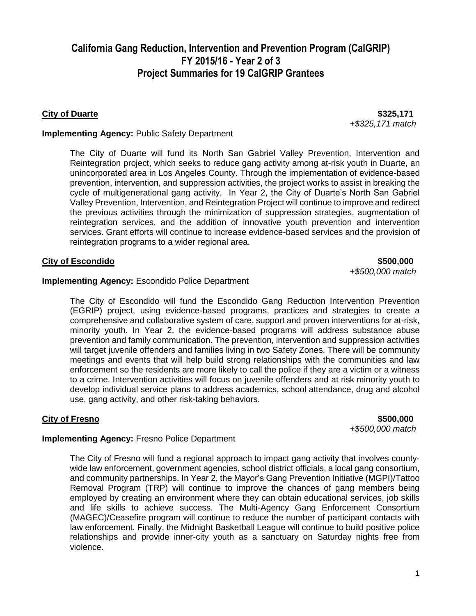**City of Duarte \$325,171** *+\$325,171 match*

### **Implementing Agency:** Public Safety Department

The City of Duarte will fund its North San Gabriel Valley Prevention, Intervention and Reintegration project, which seeks to reduce gang activity among at-risk youth in Duarte, an unincorporated area in Los Angeles County. Through the implementation of evidence-based prevention, intervention, and suppression activities, the project works to assist in breaking the cycle of multigenerational gang activity. In Year 2, the City of Duarte's North San Gabriel Valley Prevention, Intervention, and Reintegration Project will continue to improve and redirect the previous activities through the minimization of suppression strategies, augmentation of reintegration services, and the addition of innovative youth prevention and intervention services. Grant efforts will continue to increase evidence-based services and the provision of reintegration programs to a wider regional area.

#### **City of Escondido \$500,000**

*+\$500,000 match* 

#### **Implementing Agency: Escondido Police Department**

The City of Escondido will fund the Escondido Gang Reduction Intervention Prevention (EGRIP) project, using evidence-based programs, practices and strategies to create a comprehensive and collaborative system of care, support and proven interventions for at-risk, minority youth. In Year 2, the evidence-based programs will address substance abuse prevention and family communication. The prevention, intervention and suppression activities will target juvenile offenders and families living in two Safety Zones. There will be community meetings and events that will help build strong relationships with the communities and law enforcement so the residents are more likely to call the police if they are a victim or a witness to a crime. Intervention activities will focus on juvenile offenders and at risk minority youth to develop individual service plans to address academics, school attendance, drug and alcohol use, gang activity, and other risk-taking behaviors.

### **City of Fresno \$500,000**

*+\$500,000 match*

### **Implementing Agency:** Fresno Police Department

The City of Fresno will fund a regional approach to impact gang activity that involves countywide law enforcement, government agencies, school district officials, a local gang consortium, and community partnerships. In Year 2, the Mayor's Gang Prevention Initiative (MGPI)/Tattoo Removal Program (TRP) will continue to improve the chances of gang members being employed by creating an environment where they can obtain educational services, job skills and life skills to achieve success. The Multi-Agency Gang Enforcement Consortium (MAGEC)/Ceasefire program will continue to reduce the number of participant contacts with law enforcement. Finally, the Midnight Basketball League will continue to build positive police relationships and provide inner-city youth as a sanctuary on Saturday nights free from violence.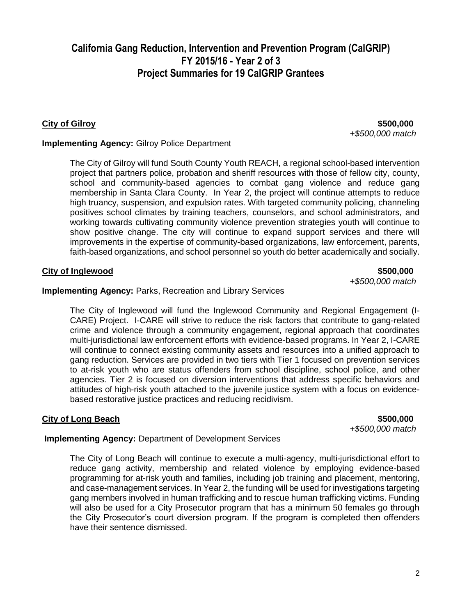The City of Long Beach will continue to execute a multi-agency, multi-jurisdictional effort to reduce gang activity, membership and related violence by employing evidence-based programming for at-risk youth and families, including job training and placement, mentoring, and case-management services. In Year 2, the funding will be used for investigations targeting gang members involved in human trafficking and to rescue human trafficking victims. Funding will also be used for a City Prosecutor program that has a minimum 50 females go through the City Prosecutor's court diversion program. If the program is completed then offenders

**Implementing Agency:** Department of Development Services

**City of Long Beach** \$500,000

## **Implementing Agency:** Parks, Recreation and Library Services

high truancy, suspension, and expulsion rates. With targeted community policing, channeling positives school climates by training teachers, counselors, and school administrators, and working towards cultivating community violence prevention strategies youth will continue to show positive change. The city will continue to expand support services and there will improvements in the expertise of community-based organizations, law enforcement, parents, faith-based organizations, and school personnel so youth do better academically and socially. **City of Inglewood \$500,000 \$500,000** 

The City of Gilroy will fund South County Youth REACH, a regional school-based intervention project that partners police, probation and sheriff resources with those of fellow city, county, school and community-based agencies to combat gang violence and reduce gang membership in Santa Clara County. In Year 2, the project will continue attempts to reduce

## **Implementing Agency:** Gilroy Police Department

**California Gang Reduction, Intervention and Prevention Program (CalGRIP) FY 2015/16 - Year 2 of 3 Project Summaries for 19 CalGRIP Grantees**

have their sentence dismissed.

The City of Inglewood will fund the Inglewood Community and Regional Engagement (I-CARE) Project. I-CARE will strive to reduce the risk factors that contribute to gang-related crime and violence through a community engagement, regional approach that coordinates multi-jurisdictional law enforcement efforts with evidence-based programs. In Year 2, I-CARE will continue to connect existing community assets and resources into a unified approach to gang reduction. Services are provided in two tiers with Tier 1 focused on prevention services to at-risk youth who are status offenders from school discipline, school police, and other agencies. Tier 2 is focused on diversion interventions that address specific behaviors and attitudes of high-risk youth attached to the juvenile justice system with a focus on evidencebased restorative justice practices and reducing recidivism.

**City of Gilroy \$500,000** *+\$500,000 match*

*+\$500,000 match*

*+\$500,000 match*

2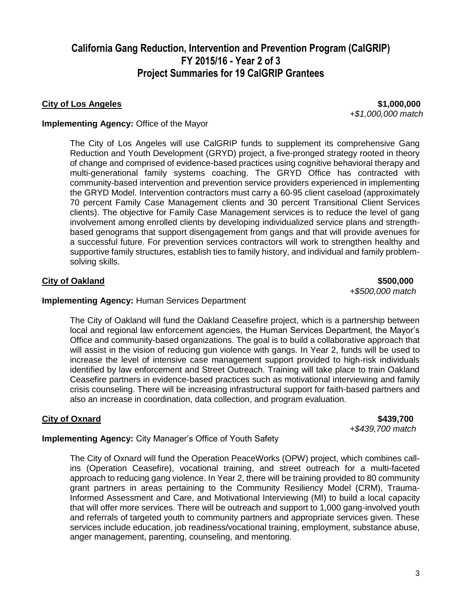### **City of Los Angeles \$1,000,000**

*+\$1,000,000 match*

#### **Implementing Agency:** Office of the Mayor

The City of Los Angeles will use CalGRIP funds to supplement its comprehensive Gang Reduction and Youth Development (GRYD) project, a five-pronged strategy rooted in theory of change and comprised of evidence-based practices using cognitive behavioral therapy and multi-generational family systems coaching. The GRYD Office has contracted with community-based intervention and prevention service providers experienced in implementing the GRYD Model. Intervention contractors must carry a 60-95 client caseload (approximately 70 percent Family Case Management clients and 30 percent Transitional Client Services clients). The objective for Family Case Management services is to reduce the level of gang involvement among enrolled clients by developing individualized service plans and strengthbased genograms that support disengagement from gangs and that will provide avenues for a successful future. For prevention services contractors will work to strengthen healthy and supportive family structures, establish ties to family history, and individual and family problemsolving skills.

#### **City of Oakland \$500,000**

*+\$500,000 match*

#### **Implementing Agency:** Human Services Department

The City of Oakland will fund the Oakland Ceasefire project, which is a partnership between local and regional law enforcement agencies, the Human Services Department, the Mayor's Office and community-based organizations. The goal is to build a collaborative approach that will assist in the vision of reducing gun violence with gangs. In Year 2, funds will be used to increase the level of intensive case management support provided to high-risk individuals identified by law enforcement and Street Outreach. Training will take place to train Oakland Ceasefire partners in evidence-based practices such as motivational interviewing and family crisis counseling. There will be increasing infrastructural support for faith-based partners and also an increase in coordination, data collection, and program evaluation.

#### **City of Oxnard \$439,700**

*+\$439,700 match*

### **Implementing Agency:** City Manager's Office of Youth Safety

The City of Oxnard will fund the Operation PeaceWorks (OPW) project, which combines callins (Operation Ceasefire), vocational training, and street outreach for a multi-faceted approach to reducing gang violence. In Year 2, there will be training provided to 80 community grant partners in areas pertaining to the Community Resiliency Model (CRM), Trauma-Informed Assessment and Care, and Motivational Interviewing (MI) to build a local capacity that will offer more services. There will be outreach and support to 1,000 gang-involved youth and referrals of targeted youth to community partners and appropriate services given. These services include education, job readiness/vocational training, employment, substance abuse, anger management, parenting, counseling, and mentoring.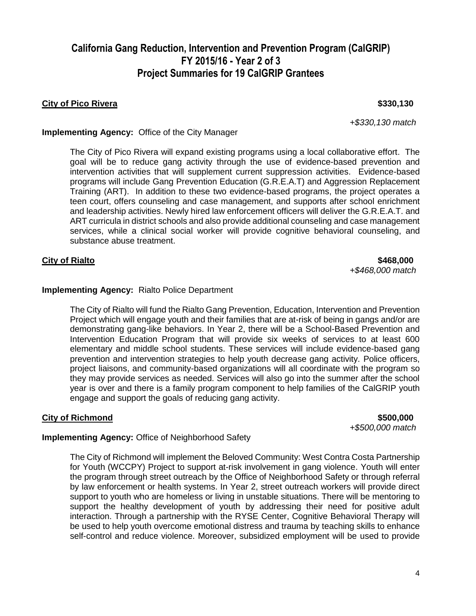### **City of Pico Rivera \$330,130**

*+\$330,130 match*

### **Implementing Agency:** Office of the City Manager

The City of Pico Rivera will expand existing programs using a local collaborative effort. The goal will be to reduce gang activity through the use of evidence-based prevention and intervention activities that will supplement current suppression activities. Evidence-based programs will include Gang Prevention Education (G.R.E.A.T) and Aggression Replacement Training (ART). In addition to these two evidence-based programs, the project operates a teen court, offers counseling and case management, and supports after school enrichment and leadership activities. Newly hired law enforcement officers will deliver the G.R.E.A.T. and ART curricula in district schools and also provide additional counseling and case management services, while a clinical social worker will provide cognitive behavioral counseling, and substance abuse treatment.

#### **City of Rialto \$468,000**

*+\$468,000 match*

#### **Implementing Agency:** Rialto Police Department

The City of Rialto will fund the Rialto Gang Prevention, Education, Intervention and Prevention Project which will engage youth and their families that are at-risk of being in gangs and/or are demonstrating gang-like behaviors. In Year 2, there will be a School-Based Prevention and Intervention Education Program that will provide six weeks of services to at least 600 elementary and middle school students. These services will include evidence-based gang prevention and intervention strategies to help youth decrease gang activity. Police officers, project liaisons, and community-based organizations will all coordinate with the program so they may provide services as needed. Services will also go into the summer after the school year is over and there is a family program component to help families of the CalGRIP youth engage and support the goals of reducing gang activity.

### **City of Richmond \$500,000**

*+\$500,000 match*

### **Implementing Agency:** Office of Neighborhood Safety

The City of Richmond will implement the Beloved Community: West Contra Costa Partnership for Youth (WCCPY) Project to support at-risk involvement in gang violence. Youth will enter the program through street outreach by the Office of Neighborhood Safety or through referral by law enforcement or health systems. In Year 2, street outreach workers will provide direct support to youth who are homeless or living in unstable situations. There will be mentoring to support the healthy development of youth by addressing their need for positive adult interaction. Through a partnership with the RYSE Center, Cognitive Behavioral Therapy will be used to help youth overcome emotional distress and trauma by teaching skills to enhance self-control and reduce violence. Moreover, subsidized employment will be used to provide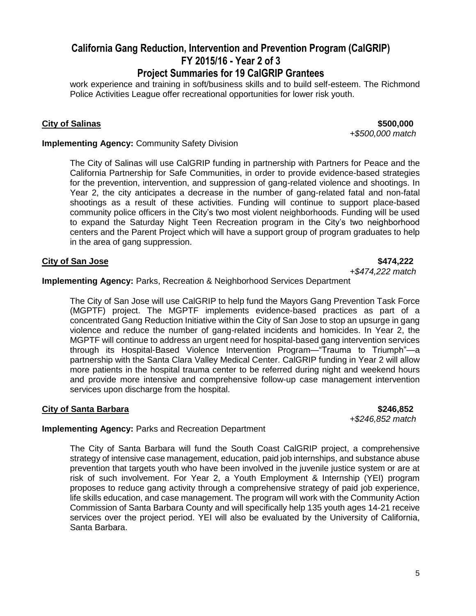# **California Gang Reduction, Intervention and Prevention Program (CalGRIP) FY 2015/16 - Year 2 of 3**

## **Project Summaries for 19 CalGRIP Grantees**

work experience and training in soft/business skills and to build self-esteem. The Richmond Police Activities League offer recreational opportunities for lower risk youth.

**City of Salinas \$500,000** *+\$500,000 match*

### **Implementing Agency: Community Safety Division**

The City of Salinas will use CalGRIP funding in partnership with Partners for Peace and the California Partnership for Safe Communities, in order to provide evidence-based strategies for the prevention, intervention, and suppression of gang-related violence and shootings. In Year 2, the city anticipates a decrease in the number of gang-related fatal and non-fatal shootings as a result of these activities. Funding will continue to support place-based community police officers in the City's two most violent neighborhoods. Funding will be used to expand the Saturday Night Teen Recreation program in the City's two neighborhood centers and the Parent Project which will have a support group of program graduates to help in the area of gang suppression.

### **City of San Jose \$474,222**

*+\$474,222 match*

**Implementing Agency:** Parks, Recreation & Neighborhood Services Department

The City of San Jose will use CalGRIP to help fund the Mayors Gang Prevention Task Force (MGPTF) project. The MGPTF implements evidence-based practices as part of a concentrated Gang Reduction Initiative within the City of San Jose to stop an upsurge in gang violence and reduce the number of gang-related incidents and homicides. In Year 2, the MGPTF will continue to address an urgent need for hospital-based gang intervention services through its Hospital-Based Violence Intervention Program—"Trauma to Triumph"—a partnership with the Santa Clara Valley Medical Center. CalGRIP funding in Year 2 will allow more patients in the hospital trauma center to be referred during night and weekend hours and provide more intensive and comprehensive follow-up case management intervention services upon discharge from the hospital.

### **City of Santa Barbara \$246,852**

*+\$246,852 match*

### **Implementing Agency:** Parks and Recreation Department

The City of Santa Barbara will fund the South Coast CalGRIP project, a comprehensive strategy of intensive case management, education, paid job internships, and substance abuse prevention that targets youth who have been involved in the juvenile justice system or are at risk of such involvement. For Year 2, a Youth Employment & Internship (YEI) program proposes to reduce gang activity through a comprehensive strategy of paid job experience, life skills education, and case management. The program will work with the Community Action Commission of Santa Barbara County and will specifically help 135 youth ages 14-21 receive services over the project period. YEI will also be evaluated by the University of California, Santa Barbara.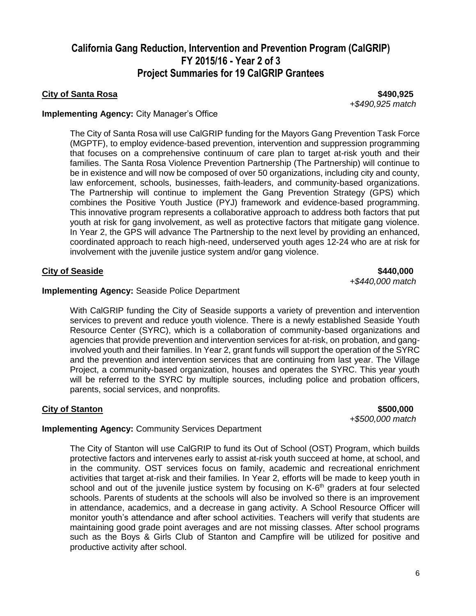### **City of Santa Rosa \$490,925**

*+\$490,925 match*

### **Implementing Agency:** City Manager's Office

The City of Santa Rosa will use CalGRIP funding for the Mayors Gang Prevention Task Force (MGPTF), to employ evidence-based prevention, intervention and suppression programming that focuses on a comprehensive continuum of care plan to target at-risk youth and their families. The Santa Rosa Violence Prevention Partnership (The Partnership) will continue to be in existence and will now be composed of over 50 organizations, including city and county, law enforcement, schools, businesses, faith-leaders, and community-based organizations. The Partnership will continue to implement the Gang Prevention Strategy (GPS) which combines the Positive Youth Justice (PYJ) framework and evidence-based programming. This innovative program represents a collaborative approach to address both factors that put youth at risk for gang involvement, as well as protective factors that mitigate gang violence. In Year 2, the GPS will advance The Partnership to the next level by providing an enhanced, coordinated approach to reach high-need, underserved youth ages 12-24 who are at risk for involvement with the juvenile justice system and/or gang violence.

### **City of Seaside 5440,000**

*+\$440,000 match*

### **Implementing Agency:** Seaside Police Department

With CalGRIP funding the City of Seaside supports a variety of prevention and intervention services to prevent and reduce youth violence. There is a newly established Seaside Youth Resource Center (SYRC), which is a collaboration of community-based organizations and agencies that provide prevention and intervention services for at-risk, on probation, and ganginvolved youth and their families. In Year 2, grant funds will support the operation of the SYRC and the prevention and intervention services that are continuing from last year. The Village Project, a community-based organization, houses and operates the SYRC. This year youth will be referred to the SYRC by multiple sources, including police and probation officers, parents, social services, and nonprofits.

**City of Stanton \$500,000** *+\$500,000 match*

### **Implementing Agency:** Community Services Department

The City of Stanton will use CalGRIP to fund its Out of School (OST) Program, which builds protective factors and intervenes early to assist at-risk youth succeed at home, at school, and in the community. OST services focus on family, academic and recreational enrichment activities that target at-risk and their families. In Year 2, efforts will be made to keep youth in school and out of the juvenile justice system by focusing on K-6<sup>th</sup> graders at four selected schools. Parents of students at the schools will also be involved so there is an improvement in attendance, academics, and a decrease in gang activity. A School Resource Officer will monitor youth's attendance and after school activities. Teachers will verify that students are maintaining good grade point averages and are not missing classes. After school programs such as the Boys & Girls Club of Stanton and Campfire will be utilized for positive and productive activity after school.